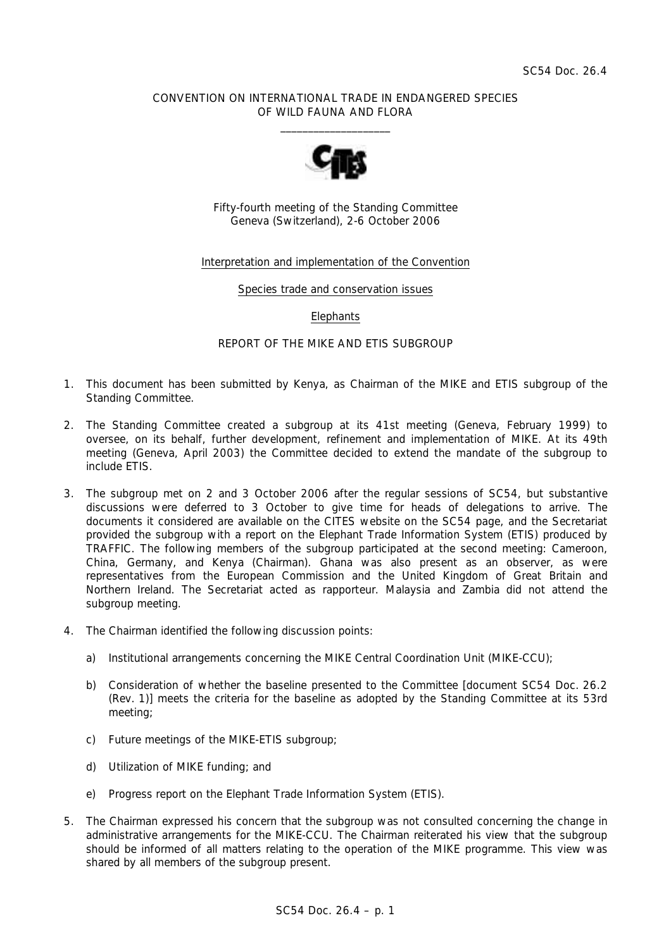# CONVENTION ON INTERNATIONAL TRADE IN ENDANGERED SPECIES OF WILD FAUNA AND FLORA  $\overline{\phantom{a}}$  , and the set of the set of the set of the set of the set of the set of the set of the set of the set of the set of the set of the set of the set of the set of the set of the set of the set of the set of the s



Fifty-fourth meeting of the Standing Committee Geneva (Switzerland), 2-6 October 2006

# Interpretation and implementation of the Convention

#### Species trade and conservation issues

## **Elephants**

## REPORT OF THE MIKE AND ETIS SUBGROUP

- 1. This document has been submitted by Kenya, as Chairman of the MIKE and ETIS subgroup of the Standing Committee.
- 2. The Standing Committee created a subgroup at its 41st meeting (Geneva, February 1999) to oversee, on its behalf, further development, refinement and implementation of MIKE. At its 49th meeting (Geneva, April 2003) the Committee decided to extend the mandate of the subgroup to include ETIS.
- 3. The subgroup met on 2 and 3 October 2006 after the regular sessions of SC54, but substantive discussions were deferred to 3 October to give time for heads of delegations to arrive. The documents it considered are available on the CITES website on the SC54 page, and the Secretariat provided the subgroup with a report on the Elephant Trade Information System (ETIS) produced by TRAFFIC. The following members of the subgroup participated at the second meeting: Cameroon, China, Germany, and Kenya (Chairman). Ghana was also present as an observer, as were representatives from the European Commission and the United Kingdom of Great Britain and Northern Ireland. The Secretariat acted as rapporteur. Malaysia and Zambia did not attend the subgroup meeting.
- 4. The Chairman identified the following discussion points:
	- a) Institutional arrangements concerning the MIKE Central Coordination Unit (MIKE-CCU);
	- b) Consideration of whether the baseline presented to the Committee [document SC54 Doc. 26.2] (Rev. 1)] meets the criteria for the baseline as adopted by the Standing Committee at its 53rd meeting;
	- c) Future meetings of the MIKE-ETIS subgroup;
	- d) Utilization of MIKE funding; and
	- e) Progress report on the Elephant Trade Information System (ETIS).
- 5. The Chairman expressed his concern that the subgroup was not consulted concerning the change in administrative arrangements for the MIKE-CCU. The Chairman reiterated his view that the subgroup should be informed of all matters relating to the operation of the MIKE programme. This view was shared by all members of the subgroup present.